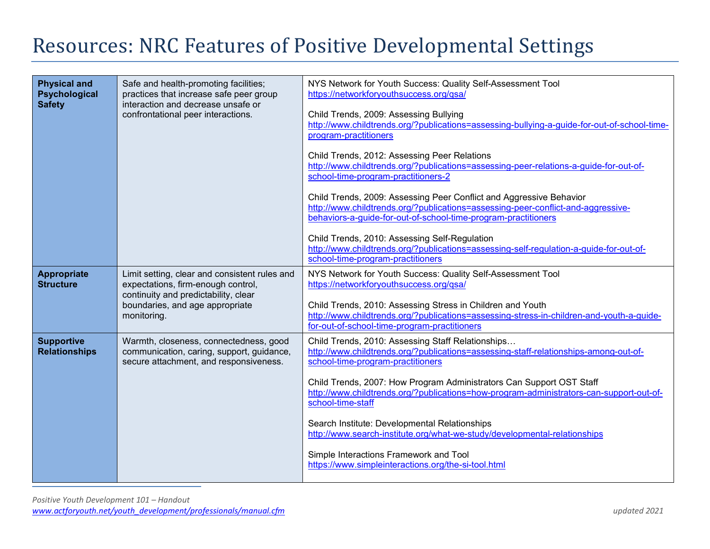## Resources: NRC Features of Positive Developmental Settings

| <b>Physical and</b><br>Psychological<br><b>Safety</b> | Safe and health-promoting facilities;<br>practices that increase safe peer group<br>interaction and decrease unsafe or<br>confrontational peer interactions.                  | NYS Network for Youth Success: Quality Self-Assessment Tool<br>https://networkforyouthsuccess.org/qsa/<br>Child Trends, 2009: Assessing Bullying<br>http://www.childtrends.org/?publications=assessing-bullying-a-guide-for-out-of-school-time-<br>program-practitioners<br>Child Trends, 2012: Assessing Peer Relations<br>http://www.childtrends.org/?publications=assessing-peer-relations-a-quide-for-out-of-<br>school-time-program-practitioners-2<br>Child Trends, 2009: Assessing Peer Conflict and Aggressive Behavior<br>http://www.childtrends.org/?publications=assessing-peer-conflict-and-aggressive-<br>behaviors-a-quide-for-out-of-school-time-program-practitioners<br>Child Trends, 2010: Assessing Self-Regulation<br>http://www.childtrends.org/?publications=assessing-self-regulation-a-guide-for-out-of-<br>school-time-program-practitioners |
|-------------------------------------------------------|-------------------------------------------------------------------------------------------------------------------------------------------------------------------------------|-----------------------------------------------------------------------------------------------------------------------------------------------------------------------------------------------------------------------------------------------------------------------------------------------------------------------------------------------------------------------------------------------------------------------------------------------------------------------------------------------------------------------------------------------------------------------------------------------------------------------------------------------------------------------------------------------------------------------------------------------------------------------------------------------------------------------------------------------------------------------|
| <b>Appropriate</b><br><b>Structure</b>                | Limit setting, clear and consistent rules and<br>expectations, firm-enough control,<br>continuity and predictability, clear<br>boundaries, and age appropriate<br>monitoring. | NYS Network for Youth Success: Quality Self-Assessment Tool<br>https://networkforyouthsuccess.org/qsa/<br>Child Trends, 2010: Assessing Stress in Children and Youth<br>http://www.childtrends.org/?publications=assessing-stress-in-children-and-youth-a-guide-<br>for-out-of-school-time-program-practitioners                                                                                                                                                                                                                                                                                                                                                                                                                                                                                                                                                      |
| <b>Supportive</b><br><b>Relationships</b>             | Warmth, closeness, connectedness, good<br>communication, caring, support, guidance,<br>secure attachment, and responsiveness.                                                 | Child Trends, 2010: Assessing Staff Relationships<br>http://www.childtrends.org/?publications=assessing-staff-relationships-among-out-of-<br>school-time-program-practitioners<br>Child Trends, 2007: How Program Administrators Can Support OST Staff<br>http://www.childtrends.org/?publications=how-program-administrators-can-support-out-of-<br>school-time-staff<br>Search Institute: Developmental Relationships<br>http://www.search-institute.org/what-we-study/developmental-relationships<br>Simple Interactions Framework and Tool<br>https://www.simpleinteractions.org/the-si-tool.html                                                                                                                                                                                                                                                                 |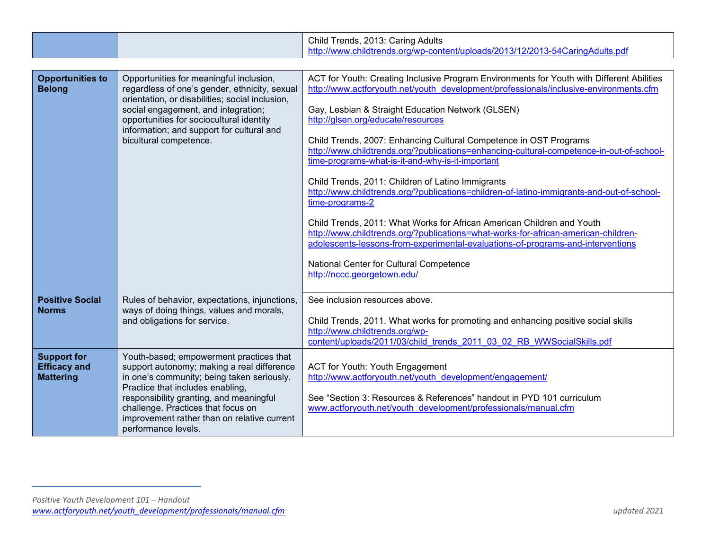|                                                               |                                                                                                                                                                                                                                                                                                                                | Child Trends, 2013: Caring Adults                                                                                                                                                                                                                                                                                                                                                                                                                                                                                                                                                                                                                                                                                                                                                                                                                                                                                                                                                                    |
|---------------------------------------------------------------|--------------------------------------------------------------------------------------------------------------------------------------------------------------------------------------------------------------------------------------------------------------------------------------------------------------------------------|------------------------------------------------------------------------------------------------------------------------------------------------------------------------------------------------------------------------------------------------------------------------------------------------------------------------------------------------------------------------------------------------------------------------------------------------------------------------------------------------------------------------------------------------------------------------------------------------------------------------------------------------------------------------------------------------------------------------------------------------------------------------------------------------------------------------------------------------------------------------------------------------------------------------------------------------------------------------------------------------------|
|                                                               |                                                                                                                                                                                                                                                                                                                                | http://www.childtrends.org/wp-content/uploads/2013/12/2013-54CaringAdults.pdf                                                                                                                                                                                                                                                                                                                                                                                                                                                                                                                                                                                                                                                                                                                                                                                                                                                                                                                        |
| <b>Opportunities to</b><br><b>Belong</b>                      | Opportunities for meaningful inclusion,<br>regardless of one's gender, ethnicity, sexual<br>orientation, or disabilities; social inclusion,<br>social engagement, and integration;<br>opportunities for sociocultural identity<br>information; and support for cultural and<br>bicultural competence.                          | ACT for Youth: Creating Inclusive Program Environments for Youth with Different Abilities<br>http://www.actforyouth.net/youth_development/professionals/inclusive-environments.cfm<br>Gay, Lesbian & Straight Education Network (GLSEN)<br>http://glsen.org/educate/resources<br>Child Trends, 2007: Enhancing Cultural Competence in OST Programs<br>http://www.childtrends.org/?publications=enhancing-cultural-competence-in-out-of-school-<br>time-programs-what-is-it-and-why-is-it-important<br>Child Trends, 2011: Children of Latino Immigrants<br>http://www.childtrends.org/?publications=children-of-latino-immigrants-and-out-of-school-<br>time-programs-2<br>Child Trends, 2011: What Works for African American Children and Youth<br>http://www.childtrends.org/?publications=what-works-for-african-american-children-<br>adolescents-lessons-from-experimental-evaluations-of-programs-and-interventions<br>National Center for Cultural Competence<br>http://nccc.georgetown.edu/ |
| <b>Positive Social</b><br><b>Norms</b>                        | Rules of behavior, expectations, injunctions,<br>ways of doing things, values and morals,<br>and obligations for service.                                                                                                                                                                                                      | See inclusion resources above.<br>Child Trends, 2011. What works for promoting and enhancing positive social skills<br>http://www.childtrends.org/wp-<br>content/uploads/2011/03/child trends 2011 03 02 RB WWSocialSkills.pdf                                                                                                                                                                                                                                                                                                                                                                                                                                                                                                                                                                                                                                                                                                                                                                       |
| <b>Support for</b><br><b>Efficacy and</b><br><b>Mattering</b> | Youth-based; empowerment practices that<br>support autonomy; making a real difference<br>in one's community; being taken seriously.<br>Practice that includes enabling,<br>responsibility granting, and meaningful<br>challenge. Practices that focus on<br>improvement rather than on relative current<br>performance levels. | ACT for Youth: Youth Engagement<br>http://www.actforyouth.net/youth_development/engagement/<br>See "Section 3: Resources & References" handout in PYD 101 curriculum<br>www.actforyouth.net/youth development/professionals/manual.cfm                                                                                                                                                                                                                                                                                                                                                                                                                                                                                                                                                                                                                                                                                                                                                               |